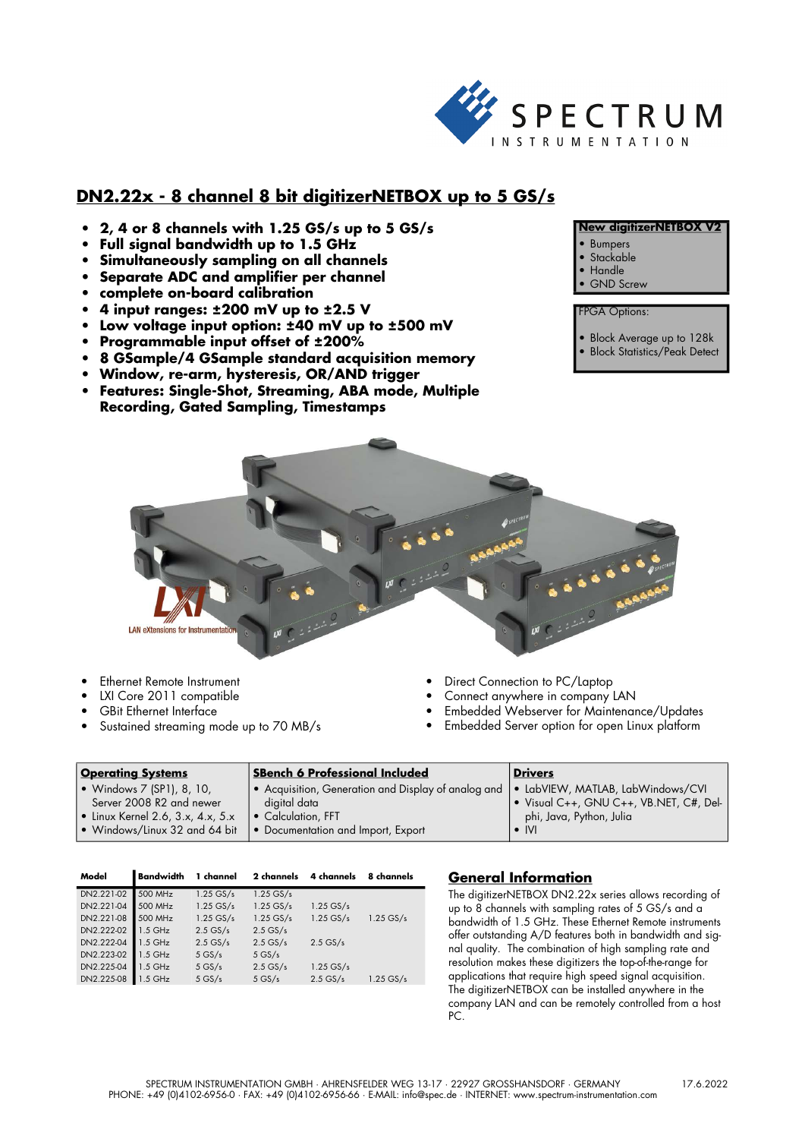

# **DN2.22x - 8 channel 8 bit digitizerNETBOX up to 5 GS/s**

- **2, 4 or 8 channels with 1.25 GS/s up to 5 GS/s**
- **Full signal bandwidth up to 1.5 GHz**
- **Simultaneously sampling on all channels**
- **Separate ADC and amplifier per channel**
- **complete on-board calibration**
- **4 input ranges: ±200 mV up to ±2.5 V**
- **Low voltage input option: ±40 mV up to ±500 mV**
- **Programmable input offset of ±200%**
- **8 GSample/4 GSample standard acquisition memory**
- **Window, re-arm, hysteresis, OR/AND trigger**
- **Features: Single-Shot, Streaming, ABA mode, Multiple Recording, Gated Sampling, Timestamps**
- **New digitizerNETBOX V2**
- **Bumpers**
- **Stackable**
- Handle **GND** Screw
- FPGA Options:
- 
- Block Average up to 128k
- Block Statistics/Peak Detect



- Ethernet Remote Instrument
- LXI Core 2011 compatible
- GBit Ethernet Interface
- Sustained streaming mode up to 70 MB/s
- Direct Connection to PC/Laptop
- Connect anywhere in company LAN
- Embedded Webserver for Maintenance/Updates
- Embedded Server option for open Linux platform

| <b>Operating Systems</b>                  | <b>SBench 6 Professional Included</b>               | <b>Drivers</b>                          |
|-------------------------------------------|-----------------------------------------------------|-----------------------------------------|
| • Windows $7$ (SP1), 8, 10,               | • Acquisition, Generation and Display of analog and | · LabVIEW, MATLAB, LabWindows/CVI       |
| Server 2008 R2 and newer                  | digital data                                        | • Visual C++, GNU C++, VB.NET, C#, Del- |
| $\bullet$ Linux Kernel 2.6, 3.x, 4.x, 5.x | • Calculation, FFT                                  | phi, Java, Python, Julia                |
| $\bullet$ Windows/Linux 32 and 64 bit     | • Documentation and Import, Export                  | $\bullet$ IVI                           |

| Model              | <b>Bandwidth</b> | 1 channel   | 2 channels  | 4 channels  | 8 channels  |
|--------------------|------------------|-------------|-------------|-------------|-------------|
| DN2.221-02 500 MHz |                  | $1.25$ GS/s | $1.25$ GS/s |             |             |
| DN2.221-04         | 500 MHz          | $1.25$ GS/s | $1.25$ GS/s | $1.25$ GS/s |             |
| DN2.221-08         | 500 MHz          | $1.25$ GS/s | $1.25$ GS/s | $1.25$ GS/s | $1.25$ GS/s |
| DN2.222-02         | $1.5$ GHz        | $2.5$ GS/s  | $2.5$ GS/s  |             |             |
| DN2.222-04         | $1.5$ GHz        | $2.5$ GS/s  | $2.5$ GS/s  | $2.5$ GS/s  |             |
| DN2.223-02         | $1.5$ GHz        | $5$ GS/s    | 5GS/s       |             |             |
| DN2.225-04         | $1.5$ GHz        | $5$ GS/s    | $2.5$ GS/s  | $1.25$ GS/s |             |
| DN2.225-08         | $1.5$ GHz        | $5$ GS/s    | 5GS/s       | $2.5$ GS/s  | $1.25$ GS/s |

## **<u>General Information</u>**

The digitizerNETBOX DN2.22x series allows recording of up to 8 channels with sampling rates of 5 GS/s and a bandwidth of 1.5 GHz. These Ethernet Remote instruments offer outstanding A/D features both in bandwidth and signal quality. The combination of high sampling rate and resolution makes these digitizers the top-of-the-range for applications that require high speed signal acquisition. The digitizerNETBOX can be installed anywhere in the company LAN and can be remotely controlled from a host PC.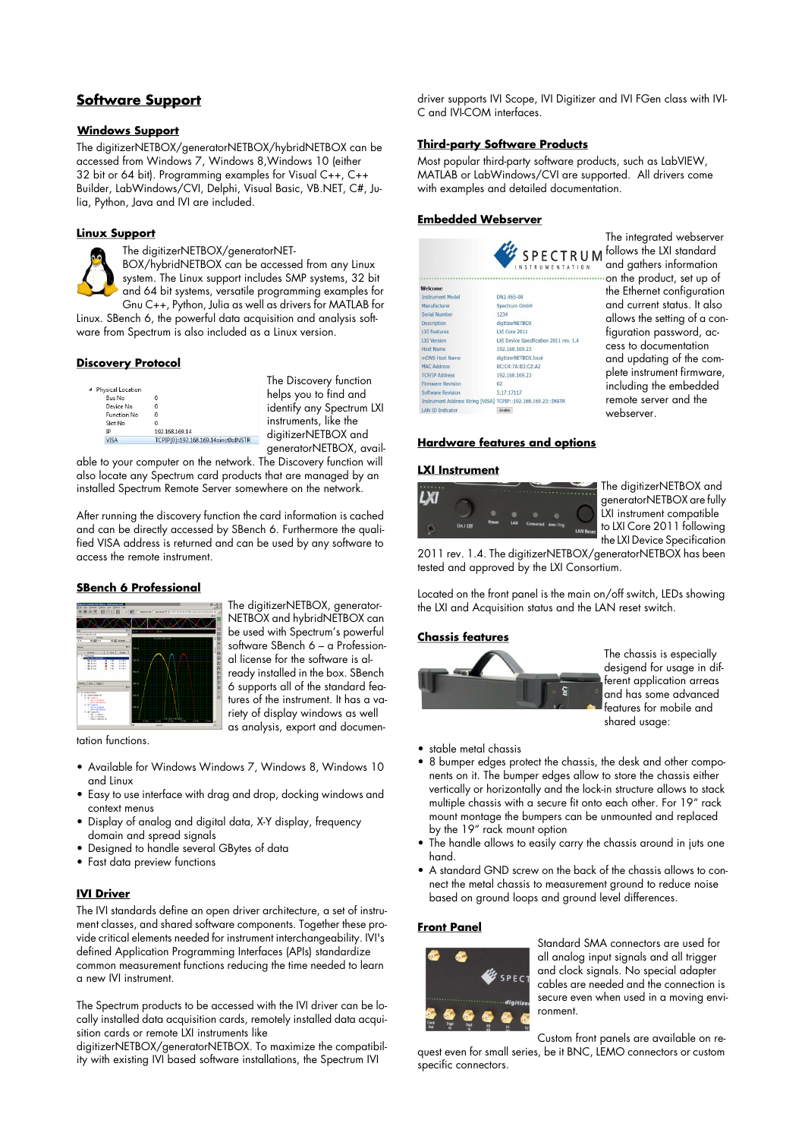# **Software Support**

## **Windows Support**

The digitizerNETBOX/generatorNETBOX/hybridNETBOX can be accessed from Windows 7, Windows 8,Windows 10 (either 32 bit or 64 bit). Programming examples for Visual C++, C++ Builder, LabWindows/CVI, Delphi, Visual Basic, VB.NET, C#, Julia, Python, Java and IVI are included.

### **Linux Support**

The digitizerNETBOX/generatorNET-BOX/hybridNETBOX can be accessed from any Linux system. The Linux support includes SMP systems, 32 bit and 64 bit systems, versatile programming examples for Gnu C++, Python, Julia as well as drivers for MATLAB for

Linux. SBench 6, the powerful data acquisition and analysis software from Spectrum is also included as a Linux version.

### **Discovery Protocol**

| <sup>4</sup> Physical Location |                                        |
|--------------------------------|----------------------------------------|
| <b>Bus No</b>                  |                                        |
| Device No.                     |                                        |
| <b>Function No</b>             |                                        |
| Slot No.                       |                                        |
| IP                             | 192.168.169.14                         |
| VISA                           | TCPIP[0]::192.168.169.14::inst0::INSTR |

ne Discovery function helps you to find and i<br>entify any Spectrum LXI struments, like the gitizerNETBOX and generatorNETBOX, avail-

able to your computer on the network. The Discovery function will also locate any Spectrum card products that are managed by an installed Spectrum Remote Server somewhere on the network.

After running the discovery function the card information is cached and can be directly accessed by SBench 6. Furthermore the qualified VISA address is returned and can be used by any software to access the remote instrument.

## **SBench 6 Professional**



The digitizerNETBOX, generator-NETBOX and hybridNETBOX can be used with Spectrum's powerful software SBench 6 – a Professional license for the software is already installed in the box. SBench 6 supports all of the standard features of the instrument. It has a variety of display windows as well as analysis, export and documen-

tation functions.

- Available for Windows Windows 7, Windows 8, Windows 10 and Linux
- Easy to use interface with drag and drop, docking windows and context menus
- Display of analog and digital data, X-Y display, frequency domain and spread signals
- Designed to handle several GBytes of data
- Fast data preview functions

### **IVI Driver**

The IVI standards define an open driver architecture, a set of instrument classes, and shared software components. Together these provide critical elements needed for instrument interchangeability. IVI's defined Application Programming Interfaces (APIs) standardize common measurement functions reducing the time needed to learn a new IVI instrument.

The Spectrum products to be accessed with the IVI driver can be locally installed data acquisition cards, remotely installed data acquisition cards or remote LXI instruments like

digitizerNETBOX/generatorNETBOX. To maximize the compatibility with existing IVI based software installations, the Spectrum IVI

driver supports IVI Scope, IVI Digitizer and IVI FGen class with IVI-C and IVI-COM interfaces.

## **Third-party Software Products**

Most popular third-party software products, such as LabVIEW, MATLAB or LabWindows/CVI are supported. All drivers come with examples and detailed documentation.

# **Embedded Webserver**

|                          | <b>SPECTRU</b>                                                |
|--------------------------|---------------------------------------------------------------|
|                          | RUMENTATIO                                                    |
| Welcome                  |                                                               |
| <b>Instrument Model</b>  | DN2.465-08                                                    |
| Manufacturer             | Spectrum GmbH                                                 |
| <b>Serial Number</b>     | 1234                                                          |
| <b>Description</b>       | digitizerNETBOX                                               |
| <b>IXI Features</b>      | LXI Core 2011                                                 |
| <b>LXT Version</b>       | LXI Device Specification 2011 rev. 1.4                        |
| <b>Host Name</b>         | 192.168.169.23                                                |
| mDNS Host Name           | digitizerNETBOX.local                                         |
| <b>MAC Address</b>       | 0C:C4:7A:B3:C2:A2                                             |
| <b>TCP/IP Address</b>    | 192 168 169 23                                                |
| <b>Firmware Revision</b> | 62                                                            |
| <b>Software Revision</b> | 5.17.17117                                                    |
|                          | Instrument Address String [VISA] TCPIP::192.168.169.23::INSTR |
| <b>LAN ID Indicator</b>  | Fnable                                                        |

The integrated webserver M follows the LXI standard and gathers information ..... on the product, set up of the Ethernet configuration and current status. It also allows the setting of a configuration password, access to documentation and updating of the complete instrument firmware, including the embedded remote server and the webserver.

### **Hardware features and options**

### **LXI Instrument**



The digitizerNETBOX and generatorNETBOX are fully LXI instrument compatible to LXI Core 2011 following the LXI Device Specification

2011 rev. 1.4. The digitizerNETBOX/generatorNETBOX has been tested and approved by the LXI Consortium.

Located on the front panel is the main on/off switch, LEDs showing the LXI and Acquisition status and the LAN reset switch.

### **Chassis features**



The chassis is especially desigend for usage in different application arreas and has some advanced features for mobile and shared usage:

- stable metal chassis
- 8 bumper edges protect the chassis, the desk and other components on it. The bumper edges allow to store the chassis either vertically or horizontally and the lock-in structure allows to stack multiple chassis with a secure fit onto each other. For 19" rack mount montage the bumpers can be unmounted and replaced by the 19" rack mount option
- The handle allows to easily carry the chassis around in juts one hand.
- A standard GND screw on the back of the chassis allows to connect the metal chassis to measurement ground to reduce noise based on ground loops and ground level differences.

## **Front Panel**



Standard SMA connectors are used for all analog input signals and all trigger and clock signals. No special adapter cables are needed and the connection is secure even when used in a moving environment.

Custom front panels are available on request even for small series, be it BNC, LEMO connectors or custom specific connectors.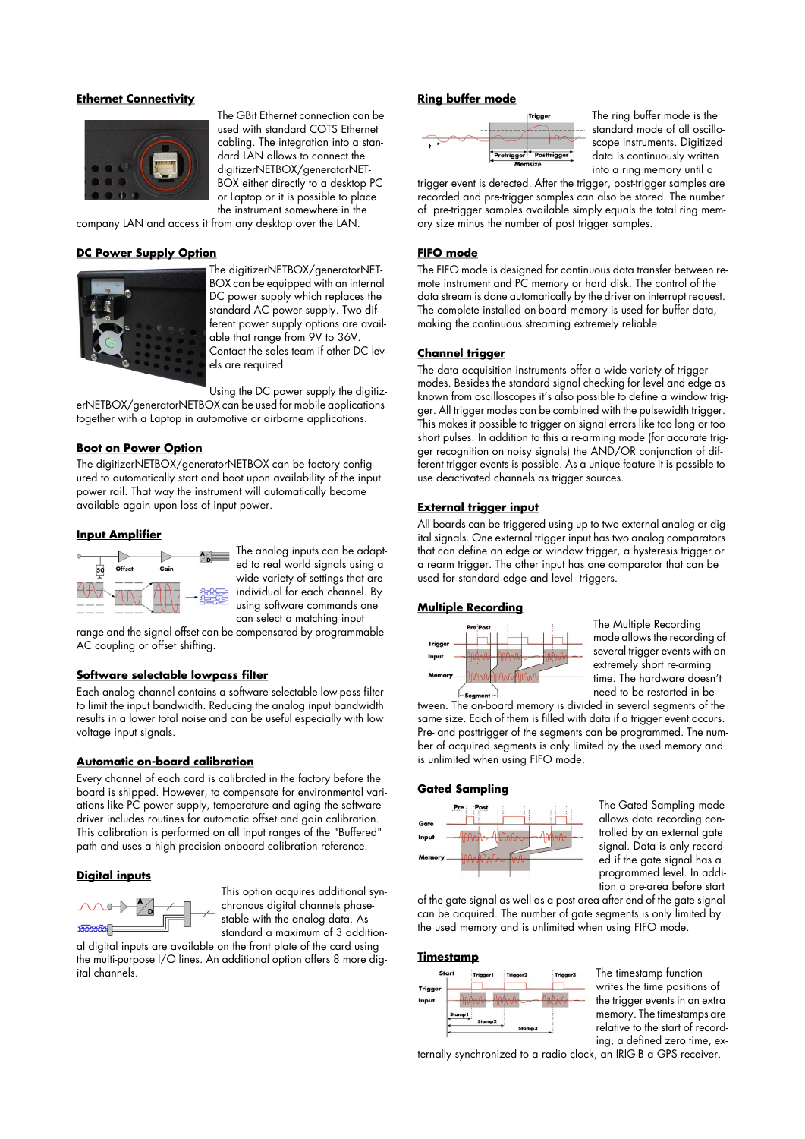### **Ethernet Connectivity**



The GBit Ethernet connection can be used with standard COTS Ethernet cabling. The integration into a standard LAN allows to connect the digitizerNETBOX/generatorNET-BOX either directly to a desktop PC or Laptop or it is possible to place the instrument somewhere in the

company LAN and access it from any desktop over the LAN.

#### **DC Power Supply Option**



The digitizerNETBOX/generatorNET-BOX can be equipped with an internal DC power supply which replaces the standard AC power supply. Two different power supply options are available that range from 9V to 36V. Contact the sales team if other DC levels are required.

Using the DC power supply the digitiz-

erNETBOX/generatorNETBOX can be used for mobile applications together with a Laptop in automotive or airborne applications.

#### **Boot on Power Option**

The digitizerNETBOX/generatorNETBOX can be factory configured to automatically start and boot upon availability of the input power rail. That way the instrument will automatically become available again upon loss of input power.

#### **Input Amplifier**



The analog inputs can be adapted to real world signals using a wide variety of settings that are individual for each channel. By using software commands one can select a matching input

range and the signal offset can be compensated by programmable AC coupling or offset shifting.

### **Software selectable lowpass filter**

Each analog channel contains a software selectable low-pass filter to limit the input bandwidth. Reducing the analog input bandwidth results in a lower total noise and can be useful especially with low voltage input signals.

#### **Automatic on-board calibration**

Every channel of each card is calibrated in the factory before the board is shipped. However, to compensate for environmental variations like PC power supply, temperature and aging the software driver includes routines for automatic offset and gain calibration. This calibration is performed on all input ranges of the "Buffered" path and uses a high precision onboard calibration reference.

#### **Digital inputs**



This option acquires additional synchronous digital channels phasestable with the analog data. As standard a maximum of 3 addition-

al digital inputs are available on the front plate of the card using the multi-purpose I/O lines. An additional option offers 8 more digital channels.

## **Ring buffer mode**



The ring buffer mode is the standard mode of all oscilloscope instruments. Digitized data is continuously written into a ring memory until a

trigger event is detected. After the trigger, post-trigger samples are recorded and pre-trigger samples can also be stored. The number of pre-trigger samples available simply equals the total ring memory size minus the number of post trigger samples.

#### **FIFO mode**

The FIFO mode is designed for continuous data transfer between remote instrument and PC memory or hard disk. The control of the data stream is done automatically by the driver on interrupt request. The complete installed on-board memory is used for buffer data, making the continuous streaming extremely reliable.

#### **Channel trigger**

The data acquisition instruments offer a wide variety of trigger modes. Besides the standard signal checking for level and edge as known from oscilloscopes it's also possible to define a window trigger. All trigger modes can be combined with the pulsewidth trigger. This makes it possible to trigger on signal errors like too long or too short pulses. In addition to this a re-arming mode (for accurate trigger recognition on noisy signals) the AND/OR conjunction of different trigger events is possible. As a unique feature it is possible to use deactivated channels as trigger sources.

### **External trigger input**

All boards can be triggered using up to two external analog or digital signals. One external trigger input has two analog comparators that can define an edge or window trigger, a hysteresis trigger or a rearm trigger. The other input has one comparator that can be used for standard edge and level triggers.

#### **Multiple Recording**



The Multiple Recording mode allows the recording of several trigger events with an extremely short re-arming time. The hardware doesn't need to be restarted in be-

tween. The on-board memory is divided in several segments of the same size. Each of them is filled with data if a trigger event occurs. Pre- and posttrigger of the segments can be programmed. The number of acquired segments is only limited by the used memory and is unlimited when using FIFO mode.

#### **Gated Sampling**



The Gated Sampling mode allows data recording controlled by an external gate signal. Data is only recorded if the gate signal has a programmed level. In addition a pre-area before start

of the gate signal as well as a post area after end of the gate signal can be acquired. The number of gate segments is only limited by the used memory and is unlimited when using FIFO mode.

#### **Timestamp**



The timestamp function writes the time positions of the trigger events in an extra memory. The timestamps are relative to the start of recording, a defined zero time, ex-

ternally synchronized to a radio clock, an IRIG-B a GPS receiver.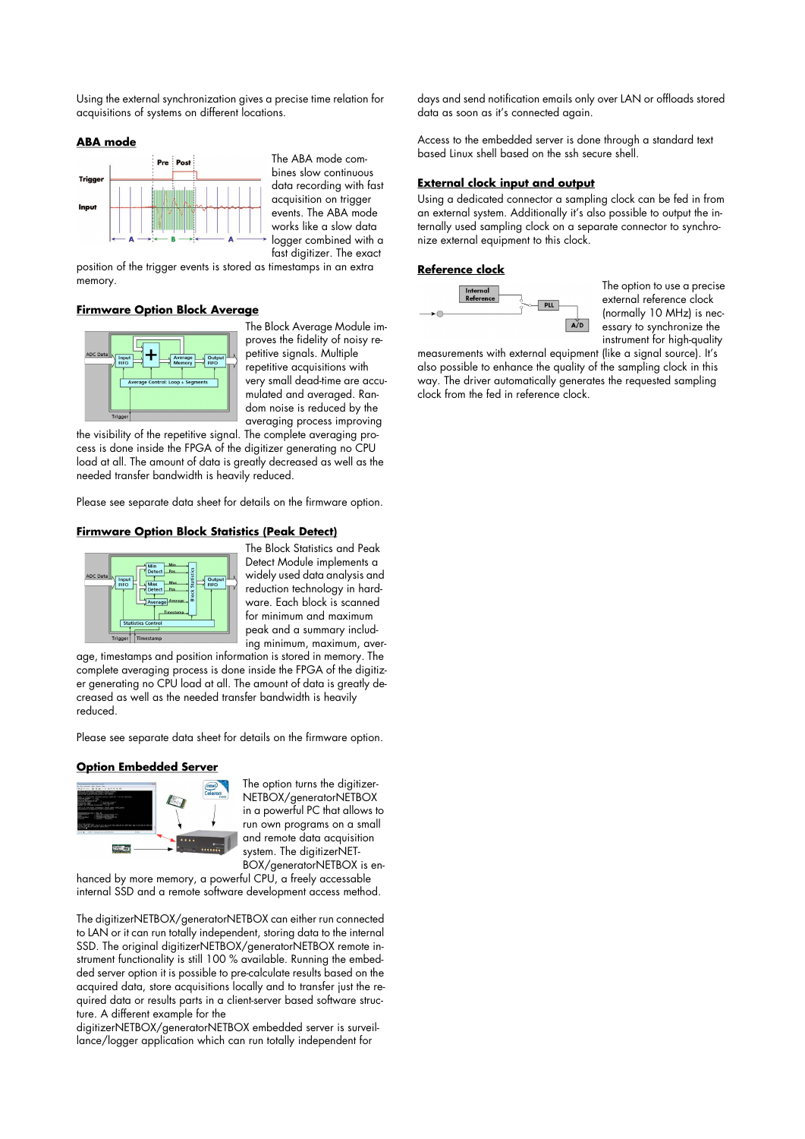Using the external synchronization gives a precise time relation for acquisitions of systems on different locations.

### **ABA mode**



The ABA mode combines slow continuous data recording with fast acquisition on trigger events. The ABA mode works like a slow data logger combined with a fast digitizer. The exact

position of the trigger events is stored as timestamps in an extra memory.

#### **Firmware Option Block Average**



The Block Average Module improves the fidelity of noisy repetitive signals. Multiple repetitive acquisitions with very small dead-time are accumulated and averaged. Random noise is reduced by the averaging process improving

the visibility of the repetitive signal. The complete averaging process is done inside the FPGA of the digitizer generating no CPU load at all. The amount of data is greatly decreased as well as the needed transfer bandwidth is heavily reduced.

Please see separate data sheet for details on the firmware option.

### **Firmware Option Block Statistics (Peak Detect)**



The Block Statistics and Peak Detect Module implements a widely used data analysis and reduction technology in hardware. Each block is scanned for minimum and maximum peak and a summary including minimum, maximum, aver-

age, timestamps and position information is stored in memory. The complete averaging process is done inside the FPGA of the digitizer generating no CPU load at all. The amount of data is greatly decreased as well as the needed transfer bandwidth is heavily reduced.

Please see separate data sheet for details on the firmware option.

### **Option Embedded Server**



The option turns the digitizer-NETBOX/generatorNETBOX in a powerful PC that allows to run own programs on a small and remote data acquisition system. The digitizerNET-BOX/generatorNETBOX is en-

hanced by more memory, a powerful CPU, a freely accessable internal SSD and a remote software development access method.

The digitizerNETBOX/generatorNETBOX can either run connected to LAN or it can run totally independent, storing data to the internal SSD. The original digitizerNETBOX/generatorNETBOX remote instrument functionality is still 100 % available. Running the embedded server option it is possible to pre-calculate results based on the acquired data, store acquisitions locally and to transfer just the required data or results parts in a client-server based software structure. A different example for the

digitizerNETBOX/generatorNETBOX embedded server is surveillance/logger application which can run totally independent for

days and send notification emails only over LAN or offloads stored data as soon as it's connected again.

Access to the embedded server is done through a standard text based Linux shell based on the ssh secure shell.

### **External clock input and output**

Using a dedicated connector a sampling clock can be fed in from an external system. Additionally it's also possible to output the internally used sampling clock on a separate connector to synchronize external equipment to this clock.

### **Reference clock**



The option to use a precise external reference clock (normally 10 MHz) is necessary to synchronize the instrument for high-quality

measurements with external equipment (like a signal source). It's also possible to enhance the quality of the sampling clock in this way. The driver automatically generates the requested sampling clock from the fed in reference clock.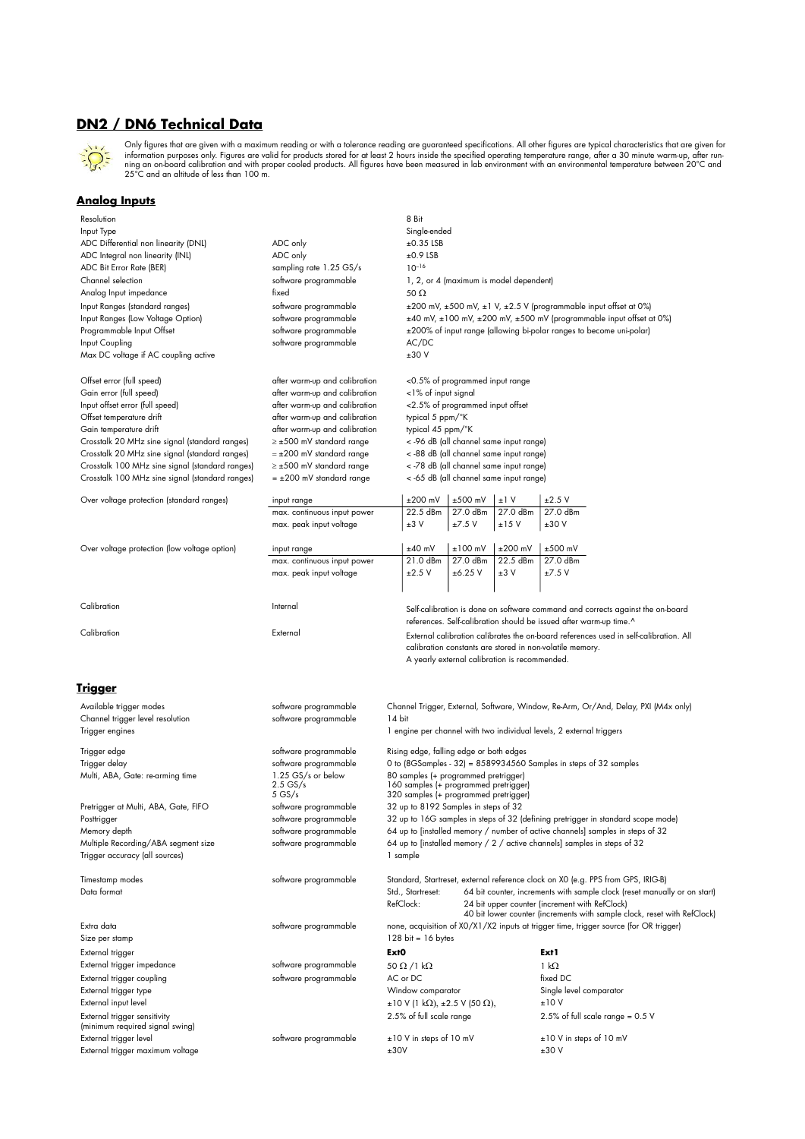# **DN2 / DN6 Technical Data**



Only tigures that are given with a maximum reading or with a tolerance reading are guaranteed specifications. All other tigures are typical characteristics that are given for<br>information purposes only. Figures are valid fo

## **Analog Inputs**

| Resolution                                                      |                                  |                                                                     | 8 Bit                                   |                                               |           |                                                                                         |
|-----------------------------------------------------------------|----------------------------------|---------------------------------------------------------------------|-----------------------------------------|-----------------------------------------------|-----------|-----------------------------------------------------------------------------------------|
| Input Type                                                      |                                  |                                                                     | Single-ended                            |                                               |           |                                                                                         |
| ADC Differential non linearity (DNL)                            | ADC only                         |                                                                     | $\pm 0.35$ LSB                          |                                               |           |                                                                                         |
| ADC Integral non linearity (INL)                                | ADC only                         |                                                                     | $±0.9$ LSB                              |                                               |           |                                                                                         |
| ADC Bit Error Rate (BER)                                        | sampling rate 1.25 GS/s          |                                                                     | $10^{-16}$                              |                                               |           |                                                                                         |
| Channel selection                                               | software programmable            |                                                                     |                                         | 1, 2, or 4 (maximum is model dependent)       |           |                                                                                         |
| Analog Input impedance                                          | fixed                            |                                                                     | 50 $\Omega$                             |                                               |           |                                                                                         |
|                                                                 |                                  |                                                                     |                                         |                                               |           |                                                                                         |
| Input Ranges (standard ranges)                                  | software programmable            |                                                                     |                                         |                                               |           | $\pm 200$ mV, $\pm 500$ mV, $\pm 1$ V, $\pm 2.5$ V (programmable input offset at 0%)    |
| Input Ranges (Low Voltage Option)                               | software programmable            |                                                                     |                                         |                                               |           | $\pm$ 40 mV, $\pm$ 100 mV, $\pm$ 200 mV, $\pm$ 500 mV (programmable input offset at 0%) |
| Programmable Input Offset                                       | software programmable            | ±200% of input range (allowing bi-polar ranges to become uni-polar) |                                         |                                               |           |                                                                                         |
| Input Coupling                                                  | software programmable            |                                                                     | AC/DC                                   |                                               |           |                                                                                         |
| Max DC voltage if AC coupling active                            |                                  |                                                                     | ±30V                                    |                                               |           |                                                                                         |
| Offset error (full speed)                                       | after warm-up and calibration    |                                                                     |                                         | <0.5% of programmed input range               |           |                                                                                         |
|                                                                 |                                  |                                                                     |                                         |                                               |           |                                                                                         |
| Gain error (full speed)                                         | after warm-up and calibration    |                                                                     | <1% of input signal                     |                                               |           |                                                                                         |
| Input offset error (full speed)                                 | after warm-up and calibration    |                                                                     |                                         | <2.5% of programmed input offset              |           |                                                                                         |
| Offset temperature drift                                        | after warm-up and calibration    |                                                                     | typical 5 ppm/°K                        |                                               |           |                                                                                         |
| Gain temperature drift                                          | after warm-up and calibration    |                                                                     | typical 45 ppm/°K                       |                                               |           |                                                                                         |
| Crosstalk 20 MHz sine signal (standard ranges)                  | $\geq \pm 500$ mV standard range |                                                                     |                                         | <-96 dB (all channel same input range)        |           |                                                                                         |
| Crosstalk 20 MHz sine signal (standard ranges)                  | $= \pm 200$ mV standard range    |                                                                     |                                         | <-88 dB (all channel same input range)        |           |                                                                                         |
| Crosstalk 100 MHz sine signal (standard ranges)                 | $\geq \pm 500$ mV standard range |                                                                     |                                         | < -78 dB (all channel same input range)       |           |                                                                                         |
| Crosstalk 100 MHz sine signal (standard ranges)                 | $= \pm 200$ mV standard range    |                                                                     |                                         | < -65 dB (all channel same input range)       |           |                                                                                         |
| Over voltage protection (standard ranges)                       | input range                      |                                                                     | $±200$ mV                               | $±500$ mV                                     | ±1V       | ±2.5V                                                                                   |
|                                                                 | max. continuous input power      |                                                                     | 22.5 dBm                                | 27.0 dBm                                      | 27.0 dBm  | 27.0 dBm                                                                                |
|                                                                 | max. peak input voltage          |                                                                     | ±3V                                     | ±7.5V                                         | ±15V      | ±30V                                                                                    |
|                                                                 |                                  |                                                                     |                                         |                                               |           |                                                                                         |
| Over voltage protection (low voltage option)                    | input range                      |                                                                     | $±40$ mV                                | $±100$ mV                                     | $±200$ mV | $±500$ mV                                                                               |
|                                                                 | max. continuous input power      |                                                                     | 21.0 dBm                                | 27.0 dBm                                      | 22.5 dBm  | 27.0 dBm                                                                                |
|                                                                 | max. peak input voltage          |                                                                     | ±2.5V                                   | $±6.25$ V                                     | ±3V       | $±7.5$ V                                                                                |
|                                                                 |                                  |                                                                     |                                         |                                               |           |                                                                                         |
| Calibration                                                     | Internal                         |                                                                     |                                         |                                               |           | Self-calibration is done on software command and corrects against the on-board          |
|                                                                 |                                  |                                                                     |                                         |                                               |           | references. Self-calibration should be issued after warm-up time.^                      |
| Calibration                                                     | External                         |                                                                     |                                         |                                               |           | External calibration calibrates the on-board references used in self-calibration. All   |
|                                                                 |                                  |                                                                     |                                         |                                               |           | calibration constants are stored in non-volatile memory.                                |
|                                                                 |                                  |                                                                     |                                         | A yearly external calibration is recommended. |           |                                                                                         |
|                                                                 |                                  |                                                                     |                                         |                                               |           |                                                                                         |
| <u>Trigger</u>                                                  |                                  |                                                                     |                                         |                                               |           |                                                                                         |
| Available trigger modes                                         | software programmable            |                                                                     |                                         |                                               |           | Channel Trigger, External, Software, Window, Re-Arm, Or/And, Delay, PXI (M4x only)      |
| Channel trigger level resolution                                | software programmable            | 14 bit                                                              |                                         |                                               |           |                                                                                         |
| Trigger engines                                                 |                                  |                                                                     |                                         |                                               |           | 1 engine per channel with two individual levels, 2 external triggers                    |
|                                                                 |                                  |                                                                     |                                         |                                               |           |                                                                                         |
| Trigger edge                                                    | software programmable            |                                                                     | Rising edge, falling edge or both edges |                                               |           |                                                                                         |
| Trigger delay                                                   | software programmable            |                                                                     |                                         |                                               |           | 0 to (8GSamples - 32) = 8589934560 Samples in steps of 32 samples                       |
| Multi, ABA, Gate: re-arming time                                | 1.25 GS/s or below               |                                                                     | 80 samples (+ programmed pretrigger)    |                                               |           |                                                                                         |
|                                                                 | $2.5$ GS/s                       |                                                                     | 160 samples (+ programmed pretrigger)   |                                               |           |                                                                                         |
|                                                                 | 5GS/s                            |                                                                     | 320 samples (+ programmed pretrigger)   |                                               |           |                                                                                         |
| Pretrigger at Multi, ABA, Gate, FIFO                            | software programmable            |                                                                     | 32 up to 8192 Samples in steps of 32    |                                               |           |                                                                                         |
| Posttrigger                                                     | software programmable            |                                                                     |                                         |                                               |           | 32 up to 16G samples in steps of 32 (defining pretrigger in standard scope mode)        |
| Memory depth                                                    | software programmable            |                                                                     |                                         |                                               |           | 64 up to [installed memory / number of active channels] samples in steps of 32          |
| Multiple Recording/ABA segment size                             | software programmable            |                                                                     |                                         |                                               |           | 64 up to [installed memory / 2 / active channels] samples in steps of 32                |
| Trigger accuracy (all sources)                                  |                                  |                                                                     | 1 sample                                |                                               |           |                                                                                         |
|                                                                 |                                  |                                                                     |                                         |                                               |           |                                                                                         |
| Timestamp modes                                                 | software programmable            |                                                                     |                                         |                                               |           | Standard, Startreset, external reference clock on XO (e.g. PPS from GPS, IRIG-B)        |
| Data format                                                     |                                  |                                                                     | Std., Startreset:                       |                                               |           | 64 bit counter, increments with sample clock (reset manually or on start)               |
|                                                                 |                                  |                                                                     | RefClock:                               |                                               |           | 24 bit upper counter (increment with RefClock)                                          |
|                                                                 |                                  |                                                                     |                                         |                                               |           | 40 bit lower counter (increments with sample clock, reset with RefClock)                |
| Extra data                                                      | software programmable            |                                                                     |                                         |                                               |           | none, acquisition of X0/X1/X2 inputs at trigger time, trigger source (for OR trigger)   |
| Size per stamp                                                  |                                  |                                                                     | $128 \text{ bit} = 16 \text{ bytes}$    |                                               |           |                                                                                         |
| External trigger                                                |                                  | Ext <sub>0</sub>                                                    |                                         |                                               |           | Ext1                                                                                    |
| External trigger impedance                                      | software programmable            |                                                                     | 50 $\Omega$ /1 k $\Omega$               |                                               |           | 1 k $\Omega$                                                                            |
| External trigger coupling                                       | software programmable            |                                                                     | AC or DC                                |                                               |           | fixed DC                                                                                |
| External trigger type                                           |                                  |                                                                     | Window comparator                       |                                               |           | Single level comparator                                                                 |
| External input level                                            |                                  |                                                                     |                                         |                                               |           | ±10 V                                                                                   |
|                                                                 |                                  |                                                                     | $±10$ V (1 kΩ), ±2.5 V (50 Ω),          |                                               |           |                                                                                         |
| External trigger sensitivity<br>(minimum required signal swing) |                                  |                                                                     | 2.5% of full scale range                |                                               |           | 2.5% of full scale range = $0.5$ V                                                      |
| External trigger level                                          | software programmable            |                                                                     | $\pm 10$ V in steps of 10 mV            |                                               |           | $\pm 10$ V in steps of 10 mV                                                            |
|                                                                 |                                  | ±30V                                                                |                                         |                                               |           | ±30V                                                                                    |
| External trigger maximum voltage                                |                                  |                                                                     |                                         |                                               |           |                                                                                         |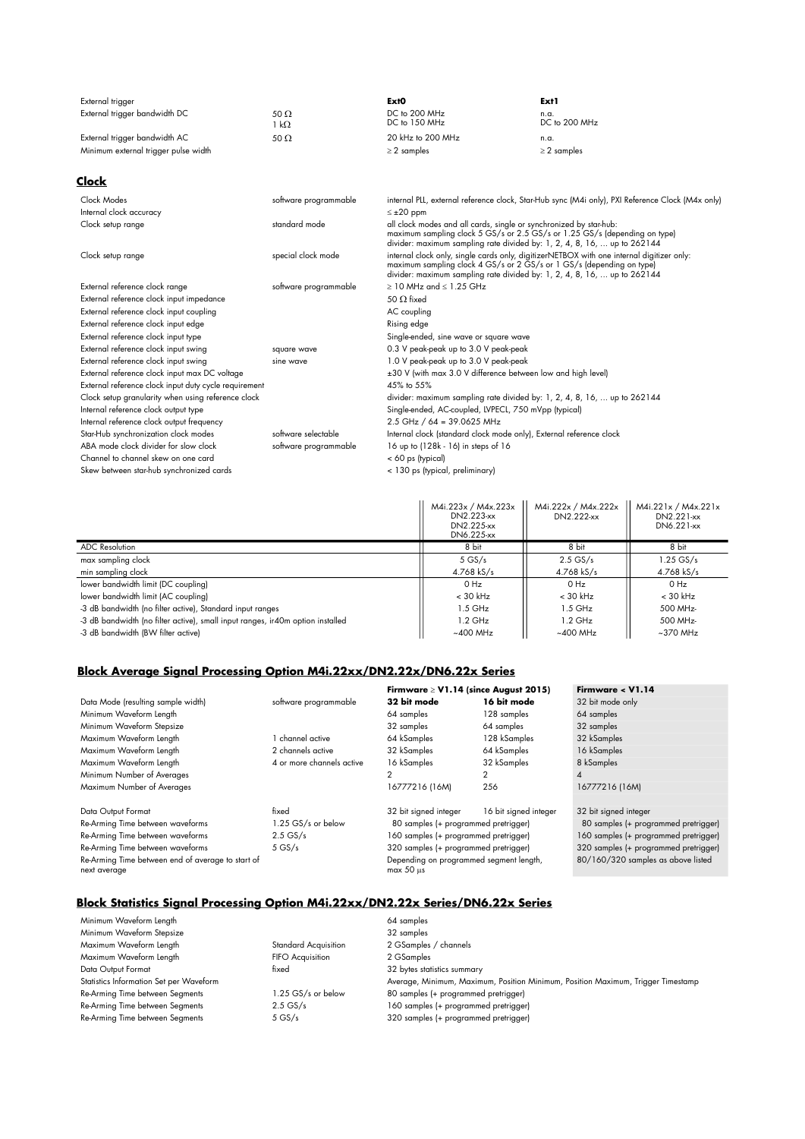| External trigger                     |                     | Ext <sub>0</sub>               | Ext1                  |
|--------------------------------------|---------------------|--------------------------------|-----------------------|
| External trigger bandwidth DC        | 50 $\Omega$<br>l kΩ | DC to 200 MHz<br>DC to 150 MHz | n.a.<br>DC to 200 MHz |
| External trigger bandwidth AC        | 50 $\Omega$         | 20 kHz to 200 MHz              | n.a.                  |
| Minimum external trigger pulse width |                     | $\geq$ 2 samples               | $\geq$ 2 samples      |

# **Clock**

| Clock Modes<br>Internal clock accuracy                | software programmable | internal PLL, external reference clock, Star-Hub sync (M4i only), PXI Reference Clock (M4x only)<br>$\leq \pm 20$ ppm                                                                                                                          |
|-------------------------------------------------------|-----------------------|------------------------------------------------------------------------------------------------------------------------------------------------------------------------------------------------------------------------------------------------|
| Clock setup range                                     | standard mode         | all clock modes and all cards, single or synchronized by star-hub:<br>maximum sampling clock 5 GS/s or 2.5 GS/s or 1.25 GS/s (depending on type)<br>divider: maximum sampling rate divided by: 1, 2, 4, 8, 16,  up to 262144                   |
| Clock setup range                                     | special clock mode    | internal clock only, single cards only, digitizerNETBOX with one internal digitizer only:<br>maximum sampling clock 4 GS/s or 2 GS/s or 1 GS/s (depending on type)<br>divider: maximum sampling rate divided by: 1, 2, 4, 8, 16,  up to 262144 |
| External reference clock range                        | software programmable | $>$ 10 MHz and < 1.25 GHz                                                                                                                                                                                                                      |
| External reference clock input impedance              |                       | 50 $\Omega$ fixed                                                                                                                                                                                                                              |
| External reference clock input coupling               |                       | AC coupling                                                                                                                                                                                                                                    |
| External reference clock input edge                   |                       | Rising edge                                                                                                                                                                                                                                    |
| External reference clock input type                   |                       | Single-ended, sine wave or square wave                                                                                                                                                                                                         |
| External reference clock input swing                  | square wave           | 0.3 V peak-peak up to 3.0 V peak-peak                                                                                                                                                                                                          |
| External reference clock input swing                  | sine wave             | 1.0 V peak-peak up to 3.0 V peak-peak                                                                                                                                                                                                          |
| External reference clock input max DC voltage         |                       | ±30 V (with max 3.0 V difference between low and high level)                                                                                                                                                                                   |
| External reference clock input duty cycle requirement |                       | 45% to 55%                                                                                                                                                                                                                                     |
| Clock setup granularity when using reference clock    |                       | divider: maximum sampling rate divided by: 1, 2, 4, 8, 16,  up to 262144                                                                                                                                                                       |
| Internal reference clock output type                  |                       | Single-ended, AC-coupled, LVPECL, 750 mVpp (typical)                                                                                                                                                                                           |
| Internal reference clock output frequency             |                       | $2.5$ GHz / 64 = 39.0625 MHz                                                                                                                                                                                                                   |
| Star-Hub synchronization clock modes                  | software selectable   | Internal clock (standard clock mode only), External reference clock                                                                                                                                                                            |
| ABA mode clock divider for slow clock                 | software programmable | 16 up to (128k - 16) in steps of 16                                                                                                                                                                                                            |
| Channel to channel skew on one card                   |                       | < 60 ps (typical)                                                                                                                                                                                                                              |
| Skew between star-hub synchronized cards              |                       | < 130 ps (typical, preliminary)                                                                                                                                                                                                                |
|                                                       |                       |                                                                                                                                                                                                                                                |

|                                                                                | M4i.223x / M4x.223x<br>DN2.223-xx<br>DN2.225-xx<br>DN6.225-xx | M4i.222x / M4x.222x<br>DN2.222-xx | M4i.221x / M4x.221x<br>DN2.221-xx<br>DN6.221-xx |
|--------------------------------------------------------------------------------|---------------------------------------------------------------|-----------------------------------|-------------------------------------------------|
| <b>ADC</b> Resolution                                                          | 8 bit                                                         | 8 bit                             | 8 bit                                           |
| max sampling clock                                                             | $5$ GS/s                                                      | $2.5$ GS/s                        | 1.25 GS/s                                       |
| min sampling clock                                                             | 4.768 kS/s                                                    | 4.768 kS/s                        | 4.768 kS/s                                      |
| lower bandwidth limit (DC coupling)                                            | $0$ Hz                                                        | 0 Hz                              | $0$ Hz                                          |
| lower bandwidth limit (AC coupling)                                            | $<$ 30 kHz                                                    | $<$ 30 kHz                        | $<$ 30 kHz                                      |
| -3 dB bandwidth (no filter active), Standard input ranges                      | $1.5$ GHz                                                     | $1.5$ GHz                         | 500 MHz-                                        |
| -3 dB bandwidth (no filter active), small input ranges, ir40m option installed | $1.2$ GHz                                                     | $1.2$ GHz                         | 500 MHz-                                        |
| -3 dB bandwidth (BW filter active)                                             | $~100$ MHz                                                    | $~100$ MHz                        | $\approx$ 370 MHz                               |

# **Block Average Signal Processing Option M4i.22xx/DN2.22x/DN6.22x Series**

|                                                                   |                           | Firmware ≥ V1.14 (since August 2015)                      |                       | Firmware < V1.14                      |
|-------------------------------------------------------------------|---------------------------|-----------------------------------------------------------|-----------------------|---------------------------------------|
| Data Mode (resulting sample width)                                | software programmable     | 32 bit mode                                               | 16 bit mode           | 32 bit mode only                      |
| Minimum Waveform Length                                           |                           | 64 samples                                                | 128 samples           | 64 samples                            |
| Minimum Waveform Stepsize                                         |                           | 32 samples                                                | 64 samples            | 32 samples                            |
| Maximum Waveform Length                                           | channel active            | 64 kSamples                                               | 128 kSamples          | 32 kSamples                           |
| Maximum Waveform Length                                           | 2 channels active         | 32 kSamples                                               | 64 kSamples           | 16 kSamples                           |
| Maximum Waveform Length                                           | 4 or more channels active | 16 kSamples                                               | 32 kSamples           | 8 kSamples                            |
| Minimum Number of Averages                                        |                           | 2                                                         | 2                     | 4                                     |
| Maximum Number of Averages                                        |                           | 16777216 (16M)                                            | 256                   | 16777216 (16M)                        |
| Data Output Format                                                | fixed                     | 32 bit signed integer                                     | 16 bit signed integer | 32 bit signed integer                 |
| Re-Arming Time between waveforms                                  | 1.25 GS/s or below        | 80 samples (+ programmed pretrigger)                      |                       | 80 samples (+ programmed pretrigger)  |
| Re-Arming Time between waveforms                                  | $2.5$ GS/s                | 160 samples (+ programmed pretrigger)                     |                       | 160 samples (+ programmed pretrigger) |
| Re-Arming Time between waveforms                                  | $5$ GS/s                  | 320 samples (+ programmed pretrigger)                     |                       | 320 samples (+ programmed pretrigger) |
| Re-Arming Time between end of average to start of<br>next average |                           | Depending on programmed segment length,<br>$max 50 \mu s$ |                       | 80/160/320 samples as above listed    |

# **Block Statistics Signal Processing Option M4i.22xx/DN2.22x Series/DN6.22x Series**

| Minimum Waveform Length                 |                             | 64 samples                                                                       |
|-----------------------------------------|-----------------------------|----------------------------------------------------------------------------------|
| Minimum Waveform Stepsize               |                             | 32 samples                                                                       |
| Maximum Waveform Length                 | <b>Standard Acquisition</b> | 2 GSamples / channels                                                            |
| Maximum Waveform Length                 | <b>FIFO Acquisition</b>     | 2 GSamples                                                                       |
| Data Output Format                      | fixed                       | 32 bytes statistics summary                                                      |
| Statistics Information Set per Waveform |                             | Average, Minimum, Maximum, Position Minimum, Position Maximum, Trigger Timestamp |
| Re-Arming Time between Segments         | 1.25 GS/s or below          | 80 samples (+ programmed pretrigger)                                             |
| Re-Arming Time between Segments         | $2.5$ GS/s                  | 160 samples (+ programmed pretrigger)                                            |
| Re-Arming Time between Segments         | $5$ GS/s                    | 320 samples (+ programmed pretrigger)                                            |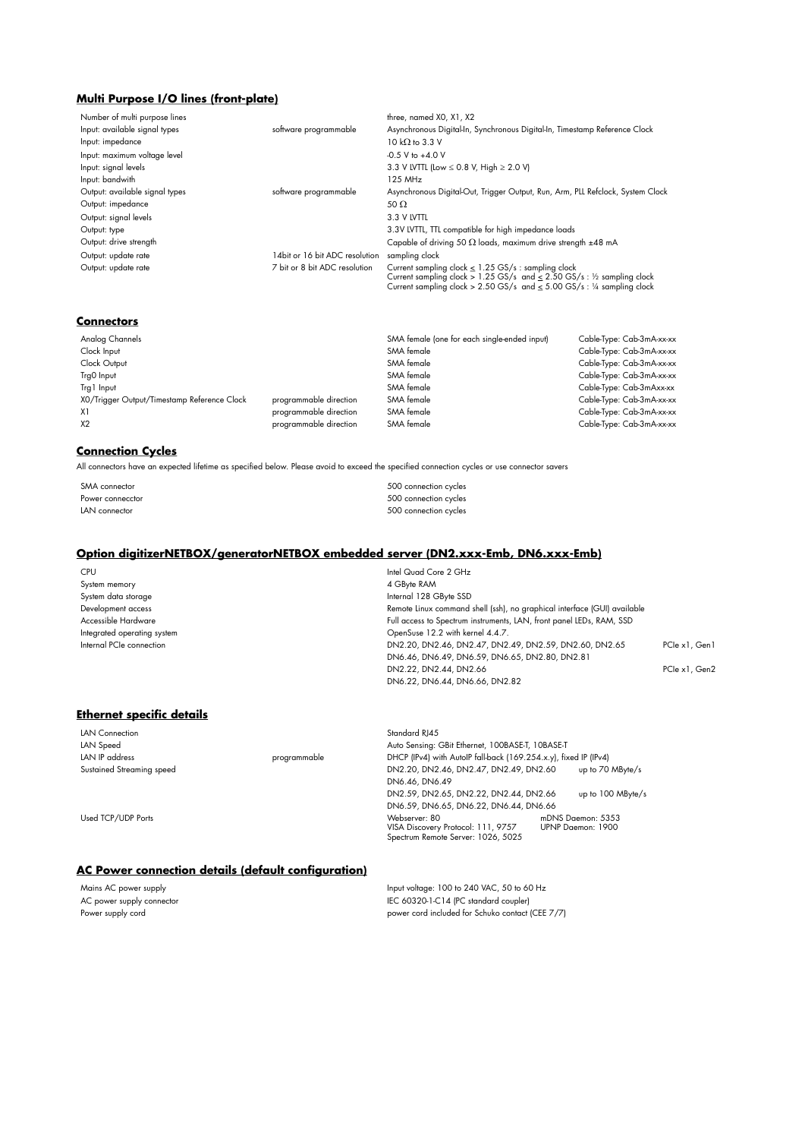## **Multi Purpose I/O lines (front-plate)**

| Number of multi purpose lines  |                                | three, named XO, X1, X2                                                                                                                                                                                               |
|--------------------------------|--------------------------------|-----------------------------------------------------------------------------------------------------------------------------------------------------------------------------------------------------------------------|
| Input: available signal types  | software programmable          | Asynchronous Digital-In, Synchronous Digital-In, Timestamp Reference Clock                                                                                                                                            |
| Input: impedance               |                                | $10 k\Omega$ to 3.3 V                                                                                                                                                                                                 |
| Input: maximum voltage level   |                                | $-0.5$ V to $+4.0$ V                                                                                                                                                                                                  |
| Input: signal levels           |                                | 3.3 V LVTTL (Low ≤ 0.8 V, High ≥ 2.0 V)                                                                                                                                                                               |
| Input: bandwith                |                                | 125 MHz                                                                                                                                                                                                               |
| Output: available signal types | software programmable          | Asynchronous Digital-Out, Trigger Output, Run, Arm, PLL Refclock, System Clock                                                                                                                                        |
| Output: impedance              |                                | 50 $\Omega$                                                                                                                                                                                                           |
| Output: signal levels          |                                | 3.3 V LVTTL                                                                                                                                                                                                           |
| Output: type                   |                                | 3.3V LVTTL, TTL compatible for high impedance loads                                                                                                                                                                   |
| Output: drive strength         |                                | Capable of driving 50 $\Omega$ loads, maximum drive strength $\pm 48$ mA                                                                                                                                              |
| Output: update rate            | 14bit or 16 bit ADC resolution | sampling clock                                                                                                                                                                                                        |
| Output: update rate            | 7 bit or 8 bit ADC resolution  | Current sampling clock $<$ 1.25 GS/s : sampling clock<br>Current sampling clock > 1.25 GS/s and $\leq$ 2.50 GS/s : 1/2 sampling clock<br>Current sampling clock > 2.50 GS/s and $\leq$ 5.00 GS/s : 1/4 sampling clock |

### **Connectors**

| Analog Channels                             |                        | SMA female (one for each single-ended input) | Cable-Type: Cab-3mA-xx-xx |
|---------------------------------------------|------------------------|----------------------------------------------|---------------------------|
| Clock Input                                 |                        | SMA female                                   | Cable-Type: Cab-3mA-xx-xx |
| Clock Output                                |                        | SMA female                                   | Cable-Type: Cab-3mA-xx-xx |
| Trg0 Input                                  |                        | SMA female                                   | Cable-Type: Cab-3mA-xx-xx |
| Trg I Input                                 |                        | SMA female                                   | Cable-Type: Cab-3mAxx-xx  |
| XO/Trigger Output/Timestamp Reference Clock | programmable direction | SMA female                                   | Cable-Type: Cab-3mA-xx-xx |
| X1                                          | programmable direction | SMA female                                   | Cable-Type: Cab-3mA-xx-xx |
| X2                                          | programmable direction | SMA female                                   | Cable-Type: Cab-3mA-xx-xx |

## **Connection Cycles**

All connectors have an expected lifetime as specified below. Please avoid to exceed the specified connection cycles or use connector savers

| SMA connector    | 500 connection cycles |
|------------------|-----------------------|
| Power connecctor | 500 connection cycles |
| LAN connector    | 500 connection cycles |

## **Option digitizerNETBOX/generatorNETBOX embedded server (DN2.xxx-Emb, DN6.xxx-Emb)**

CPU **Intel Quad Core 2 GHz** System memory **4 GByte RAM** System data storage Internal 128 GByte SSD

Development access Remote Linux command shell (ssh), no graphical interface (GUI) available Accessible Hardware **Full access to Spectrum instruments, LAN, front panel LEDs**, RAM, SSD Integrated operating system **Integrated** operating system **OpenSuse 12.2** with kernel 4.4.7. Internal PCIe connection DN2.20, DN2.46, DN2.47, DN2.49, DN2.59, DN2.60, DN2.65 PCIe x1, Gen1 DN6.46, DN6.49, DN6.59, DN6.65, DN2.80, DN2.81 DN2.22, DN2.44, DN2.66 PCIe x1, Gen2 DN6.22, DN6.44, DN6.66, DN2.82

### **Ethernet specific details**

| LAN Connection            |              | Standard RJ45                                                                             |                                        |
|---------------------------|--------------|-------------------------------------------------------------------------------------------|----------------------------------------|
| LAN Speed                 |              | Auto Sensing: GBit Ethernet, 100BASE-T, 10BASE-T                                          |                                        |
| LAN IP address            | programmable | DHCP (IPv4) with AutoIP fall-back (169.254.x.y), fixed IP (IPv4)                          |                                        |
| Sustained Streaming speed |              | DN2.20, DN2.46, DN2.47, DN2.49, DN2.60                                                    | up to 70 MByte/s                       |
|                           |              | DN6.46, DN6.49                                                                            |                                        |
|                           |              | DN2.59, DN2.65, DN2.22, DN2.44, DN2.66                                                    | up to 100 MByte/s                      |
|                           |              | DN6.59, DN6.65, DN6.22, DN6.44, DN6.66                                                    |                                        |
| Used TCP/UDP Ports        |              | Webserver: 80<br>VISA Discovery Protocol: 111, 9757<br>Spectrum Remote Server: 1026, 5025 | mDNS Daemon: 5353<br>UPNP Daemon: 1900 |

## **AC Power connection details (default configuration)**

Mains AC power supply and the state of the state of the state of the state of the state of the SAC power supply connector  $\overline{AC}$  power supply connector  $\overline{AC}$  and  $\overline{AC}$  and  $\overline{AC}$  and  $\overline{AC}$  and  $\overline{AC}$  and  $\over$ AC power supply connector and the state of the standard completion of the SOS20-1-C14 (PC standard coupler)<br>In the standard connector in the state of the state of the state of the state of the state of the state of the<br>In power cord included for Schuko contact (CEE 7/7)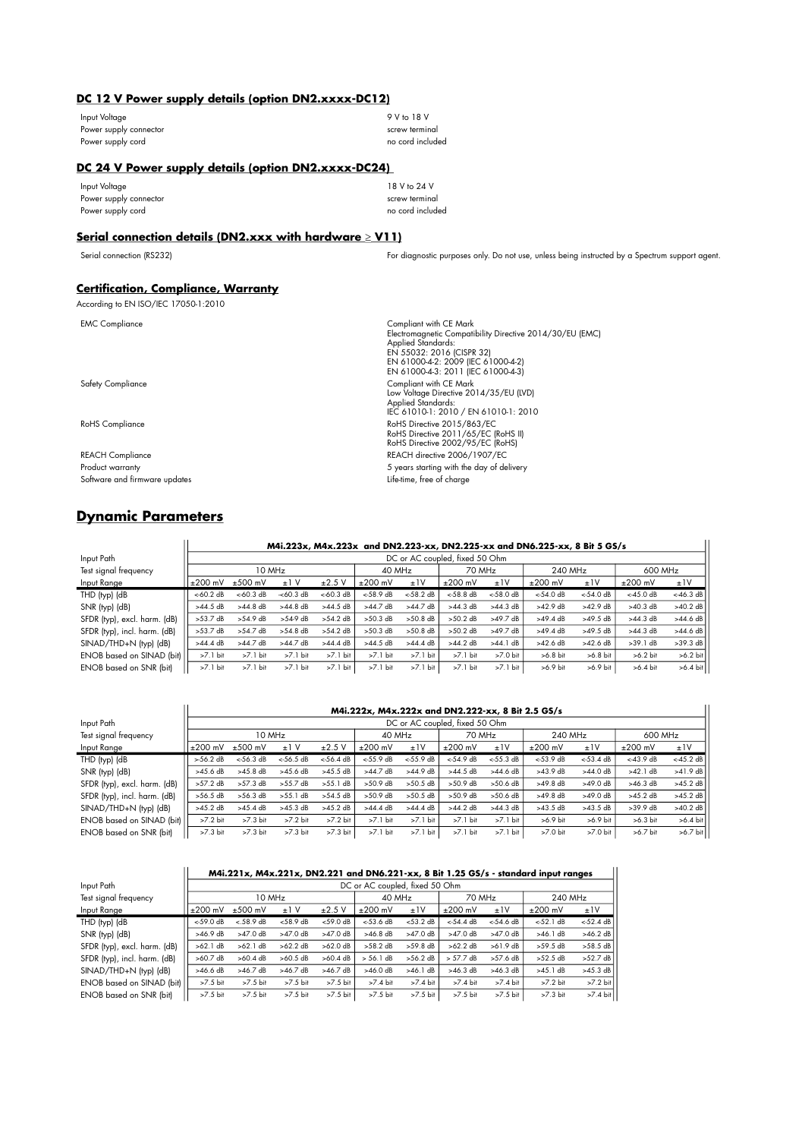## **DC 12 V Power supply details (option DN2.xxxx-DC12)**

| Input Voltage          | 9 V to 18 V      |
|------------------------|------------------|
| Power supply connector | screw terminal   |
| Power supply cord      | no cord included |

### **DC 24 V Power supply details (option DN2.xxxx-DC24)**

| Input Voltage          | 18 V to 24 V     |
|------------------------|------------------|
| Power supply connector | screw terminal   |
| Power supply cord      | no cord included |

## **Serial connection details (DN2.xxx with hardware**  $\geq$  **V11)**

Serial connection (RS232) For diagnostic purposes only. Do not use, unless being instructed by a Spectrum support agent.

## **Certification, Compliance, Warranty**

According to EN ISO/IEC 17050-1:2010

| <b>EMC Compliance</b>         | Compliant with CE Mark<br>Electromagnetic Compatibility Directive 2014/30/EU (EMC)<br><b>Applied Standards:</b><br>EN 55032: 2016 (CISPR 32)<br>EN 61000-4-2: 2009 (IEC 61000-4-2)<br>EN 61000-4-3: 2011 (IEC 61000-4-3) |
|-------------------------------|--------------------------------------------------------------------------------------------------------------------------------------------------------------------------------------------------------------------------|
| <b>Safety Compliance</b>      | Compliant with CE Mark<br>Low Voltage Directive 2014/35/EU (LVD)<br><b>Applied Standards:</b><br>IEC 61010-1: 2010 / EN 61010-1: 2010                                                                                    |
| <b>RoHS</b> Compliance        | RoHS Directive 2015/863/EC<br>RoHS Directive 2011/65/EC (RoHS II)<br>RoHS Directive 2002/95/EC (RoHS)                                                                                                                    |
| <b>REACH Compliance</b>       | REACH directive 2006/1907/EC                                                                                                                                                                                             |
| Product warranty              | 5 years starting with the day of delivery                                                                                                                                                                                |
| Software and firmware updates | Life-time, free of charge                                                                                                                                                                                                |

# **Dynamic Parameters**

ENOB based on SNR (bit)

|                                  | M4i.223x, M4x.223x, and DN2.223-xx, DN2.225-xx, and DN6.225-xx, 8 Bit 5 GS/s |             |            |                     |                     |                     |                                |                     |                     |                     |                     |              |
|----------------------------------|------------------------------------------------------------------------------|-------------|------------|---------------------|---------------------|---------------------|--------------------------------|---------------------|---------------------|---------------------|---------------------|--------------|
| Input Path                       |                                                                              |             |            |                     |                     |                     | DC or AC coupled, fixed 50 Ohm |                     |                     |                     |                     |              |
| Test signal frequency            |                                                                              | 10 MHz      |            |                     | 40 MHz              |                     | 70 MHz                         |                     | 240 MHz             |                     | 600 MHz             |              |
| Input Range                      | $\pm 200$ mV                                                                 | $±500$ mV   | ±1V        | ±2.5V               | $±200$ mV           | ±1V                 | $±200$ mV                      | ±1V                 | $±200$ mV           | ±1V                 | $±200$ mV           | ±1V          |
| THD (typ) (dB                    | $< 60.2 \text{ dB}$                                                          | $< 60.3$ dB | $-60.3$ dB | $< 60.3 \text{ dB}$ | $< 58.9 \text{ dB}$ | $< 58.2 \text{ dB}$ | $< 58.8 \, \text{dB}$          | $< 58.0 \text{ dB}$ | $< 54.0 \text{ dB}$ | $< 54.0 \text{ dB}$ | $< 45.0 \text{ dB}$ | $<$ -46.3 dB |
| SNR (typ) (dB)                   | $>44.5$ dB                                                                   | $>44.8$ dB  | $>44.8$ dB | $>44.5$ dB          | $>44.7$ dB          | $>44.7$ dB          | $>44.3$ dB                     | $>44.3$ dB          | $>42.9$ dB          | $>42.9$ dB          | $>40.3$ dB          | $>40.2$ dB   |
| SFDR (typ), excl. harm. (dB)     | $>53.7$ dB                                                                   | $>54.9$ dB  | $>54.9$ dB | $>54.2$ dB          | $>50.3$ dB          | $>50.8$ dB          | $>50.2$ dB                     | $>49.7$ dB          | $>49.4$ dB          | $>49.5$ dB          | $>44.3$ dB          | $>44.6$ dB   |
| SFDR (typ), incl. harm. (dB)     | $>53.7$ dB                                                                   | $>54.7$ dB  | $>54.8$ dB | $>54.2$ dB          | $>50.3$ dB          | $>50.8$ dB          | $>50.2$ dB                     | $>49.7$ dB          | $>49.4$ dB          | $>49.5$ dB          | $>44.3$ dB          | $>44.6$ dB   |
| $SINAD/THD+N$ (typ) (dB)         | $>44.4$ dB                                                                   | $>44.7$ dB  | >44.7 dB   | >44.4 dB            | $>44.5$ dB          | $>44.4$ dB          | $>44.2$ dB                     | >44.1 dB            | $>42.6$ dB          | $>42.6$ dB          | >39.1 dB            | $>39.3$ dB   |
| <b>ENOB</b> based on SINAD (bit) | $>7.1$ bit                                                                   | $>7.1$ bit  | $>7.1$ bit | $>7.1$ bit          | $>7.1$ bit          | $>7.1$ bit          | $>7.1$ bit                     | >7.0 bit            | $>6.8$ bit          | $>6.8$ bit          | $>6.2$ bit          | $>6.2$ bit   |
| ENOB based on SNR (bit)          | $>7.1$ bit                                                                   | $>7.1$ bit  | $>7.1$ bit | $>7.1$ bit          | $>7.1$ bit          | $>7.1$ bit          | $>7.1$ bit                     | $>7.1$ bit          | $>6.9$ bit          | $>6.9$ bit          | $>6.4$ bit          | $>6.4$ bit   |

|                                  |                    | M4i.222x, M4x.222x and DN2.222-xx, 8 Bit 2.5 GS/s |                     |                     |                     |                     |                                |                     |             |                     |             |            |
|----------------------------------|--------------------|---------------------------------------------------|---------------------|---------------------|---------------------|---------------------|--------------------------------|---------------------|-------------|---------------------|-------------|------------|
| Input Path                       |                    |                                                   |                     |                     |                     |                     | DC or AC coupled, fixed 50 Ohm |                     |             |                     |             |            |
| Test signal frequency            |                    | 10 MHz                                            |                     |                     | 40 MHz              |                     | 70 MHz                         |                     | 240 MHz     |                     | 600 MHz     |            |
| Input Range                      | $±200$ mV          | $±500$ mV                                         | v<br>$\pm 1$        | ±2.5V               | $±200$ mV           | ±1V                 | $±200$ mV                      | ±1V                 | $±200$ mV   | ±1V                 | $±200$ mV   | ±1V        |
| THD (typ) (dB                    | $>56.2$ dB         | $< 56.3 \text{ dB}$                               | $< 56.5 \text{ dB}$ | $< 56.4 \text{ dB}$ | $< 55.9 \text{ dB}$ | $< 55.9 \text{ dB}$ | $< 54.9 \text{ dB}$            | $< 55.3 \text{ dB}$ | $< 53.9$ dB | $< 53.4 \text{ dB}$ | $<-43.9$ dB | $<45.2$ dB |
| SNR (typ) (dB)                   | $>4.5.6$ dB        | $>45.8$ dB                                        | $>45.6$ dB          | $>45.5$ dB          | $>44.7$ dB          | $>44.9$ dB          | $>44.5$ dB                     | $>44.6$ dB          | $>43.9$ dB  | $>44.0$ dB          | $>42.1$ dB  | $>41.9$ dB |
| SFDR (typ), excl. harm. (dB)     | $>57.2 \text{ dB}$ | $>57.3$ dB                                        | $>55.7$ dB          | $>55.1$ dB          | $>50.9$ dB          | $>50.5$ dB          | $>50.9$ dB                     | $>50.6$ dB          | $>49.8$ dB  | $>49.0$ dB          | $>46.3$ dB  | $>45.2$ dB |
| SFDR (typ), incl. harm. (dB)     | $>56.5$ dB         | $>56.3$ dB                                        | $>55.1$ dB          | $>54.5$ dB          | $>50.9$ dB          | $>50.5$ dB          | $>50.9$ dB                     | $>50.6$ dB          | $>49.8$ dB  | $>49.0$ dB          | $>45.2$ dB  | $>45.2$ dB |
| SINAD/THD+N (typ) (dB)           | $>45.2$ dB         | $>45.4$ dB                                        | $>45.3$ dB          | $>45.2$ dB          | $>44.4$ dB          | $>44.4$ dB          | $>44.2$ dB                     | $>44.3$ dB          | $>43.5$ dB  | $>43.5$ dB          | $>39.9$ dB  | $>40.2$ dB |
| <b>ENOB</b> based on SINAD (bit) | $>7.2$ bit         | $>7.3$ bit                                        | $>7.2$ bit          | $>7.2$ bit          | $>7.1$ bit          | $>7.1$ bit          | $>7.1$ bit                     | $>7.1$ bit          | $>6.9$ bit  | $>6.9$ bit          | $>6.3$ bit  | $>6.4$ bit |
| ENOB based on SNR (bit)          | $>7.3$ bit         | $>7.3$ bit                                        | $>7.3$ bit          | $>7.3$ bit          | $>7.1$ bit          | $>7.1$ bit          | $>7.1$ bit                     | $>7.1$ bit          | $>7.0$ bit  | $>7.0$ bit          | $>6.7$ bit  | >6.7 bit   |

#### **M4i.221x, M4x.221x, DN2.221 and DN6.221-xx, 8 Bit 1.25 GS/s - standard input ranges** Input Path DC or AC coupled, fixed 50 Ohm<br>
Test signal frequency 10 MHz 40 MHz Test signal frequency  $\begin{array}{|l|c|c|c|c|c|}\n\hline\n\text{Test signal frequency} & & & 10 \text{ MHz} & & 40 \text{ MHz} & & 70 \text{ MHz} & & 240 \text{ MHz} \\
\hline\n\text{Inout Range} & & & +200 \text{ mV} & +500 \text{ mV} & +1 \text{ V} & +2.5 \text{ V} & +200 \text{ mV} & +1 \text{ V} & +200 \text{ mV} & +1 \text{ V} & +200 \text{ mV} & & \hline\n\end{array}$ Input Range ±200 mV ±500 mV ±1 V ±2.5 V ±200 mV ±1V ±200 mV ±1V ±200 mV ±1V THD (typ) (dB <br>
SNR (typ) (dB <52.1 dB <52.4 dB <52.4 dB <52.4 dB <52.4 dB <52.4 dB <52.4 dB <52.4 dB <52.4 dB <52.4 dB <52.4 dB <52.4 dB <52.4 dB <52.4 dB <52.4 dB <52.4 dB <52.4 dB <52.4 dB <52.4 dB <52.4 dB <52.4 dB <52 SNR (typ) (dB) >46.9 dB >47.0 dB >47.0 dB >47.0 dB >46.8 dB >47.0 dB >47.0 dB >47.0 dB >46.1 dB >46.2 dB  $SFR (typ)$ , excl. harm. (dB)  $\left[\begin{array}{ccc} \text{62.1 dB} & \text{62.1 dB} & \text{62.2 dB} & \text{62.0 dB} & \text{62.8 dB} & \text{62.8 dB} & \text{62.2 dB} & \text{62.8 dB} \\ \text{62.8 GHz} & \text{62.8 GHz} & \text{62.8 GHz} & \text{62.8 GHz} & \text{62.8 GHz} \end{array}\right]$  $SFR (typ)$ , incl. harm. (dB)  $\frac{360.7 \text{ dB}}{1.346.6 \text{ dB}}$   $>60.4 \text{ dB}$   $>60.5 \text{ dB}$   $>60.4 \text{ dB}$   $>46.7 \text{ dB}$   $>46.7 \text{ dB}$   $>46.7 \text{ dB}$   $>46.7 \text{ dB}$   $>46.7 \text{ dB}$   $>46.7 \text{ dB}$   $>46.7 \text{ dB}$   $>46.7 \text{ dB}$   $>46.7 \text{ dB}$   $>46.7 \text{$ SINAD/THD+N (typ) (dB) >46.6 dB >46.7 dB >46.7 dB >46.7 dB >46.0 dB >46.1 dB >46.3 dB >46.3 dB >45.1 dB >45.3 dB

ENOB based on SINAD (bit) >7.5 bit >7.5 bit >7.5 bit >7.5 bit >7.4 bit >7.4 bit >7.4 bit >7.4 bit >7.2 bit >7.2 bit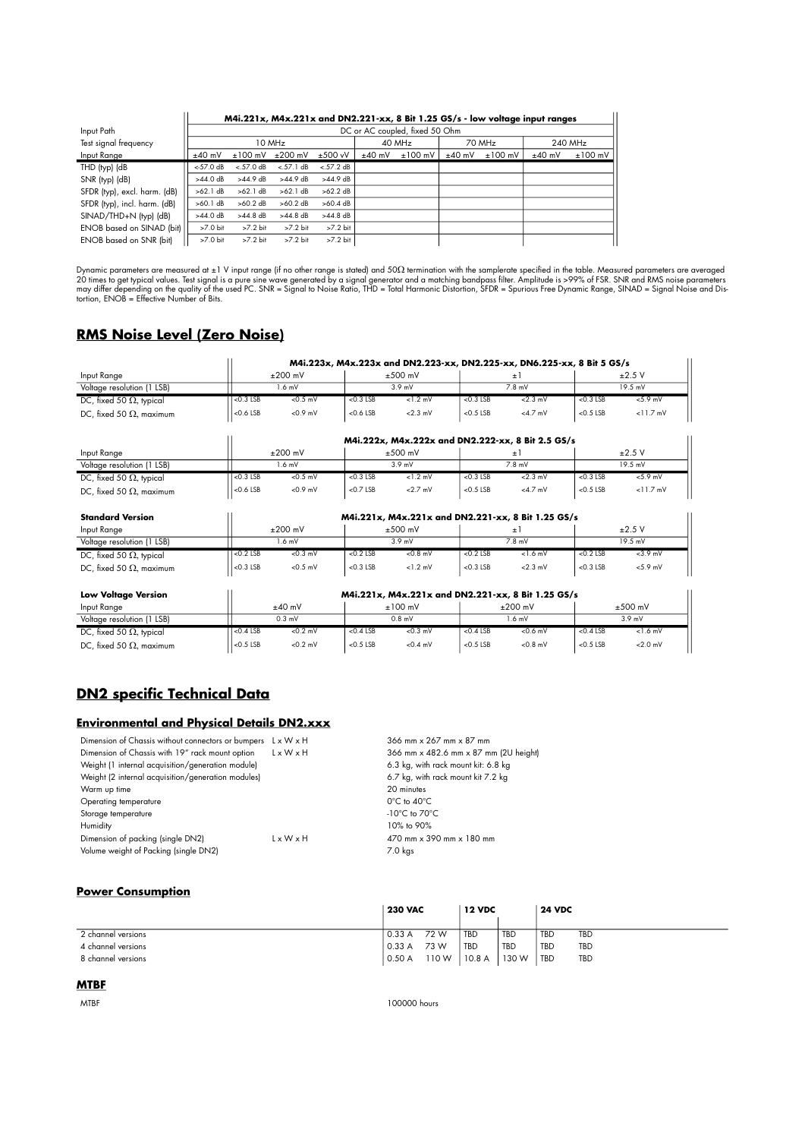|                                  | M4i.221x, M4x.221x and DN2.221-xx, 8 Bit 1.25 GS/s - low voltage input ranges |                                |            |              |          |           |          |           |          |           |  |
|----------------------------------|-------------------------------------------------------------------------------|--------------------------------|------------|--------------|----------|-----------|----------|-----------|----------|-----------|--|
| Input Path                       |                                                                               | DC or AC coupled, fixed 50 Ohm |            |              |          |           |          |           |          |           |  |
| Test signal frequency            |                                                                               |                                | 10 MHz     |              |          | 40 MHz    |          | 70 MHz    | 240 MHz  |           |  |
| Input Range                      | $±40$ mV                                                                      | $±100$ mV                      | $±200$ mV  | $±500$ vV    | $±40$ mV | $±100$ mV | $±40$ mV | $±100$ mV | $±40$ mV | $±100$ mV |  |
| THD (typ) (dB                    | $< 57.0 \text{ dB}$                                                           | $< .57.0 \text{ dB}$           | < .57.1 dB | $< .57.2$ dB |          |           |          |           |          |           |  |
| SNR (typ) (dB)                   | $>44.0$ dB                                                                    | $>44.9$ dB                     | $>44.9$ dB | $>44.9$ dB   |          |           |          |           |          |           |  |
| SFDR (typ), excl. harm. (dB)     | >62.1 dB                                                                      | >62.1 dB                       | >62.1 dB   | $>62.2$ dB   |          |           |          |           |          |           |  |
| SFDR (typ), incl. harm. (dB)     | >60.1 dB                                                                      | $>60.2$ dB                     | $>60.2$ dB | $>60.4$ dB   |          |           |          |           |          |           |  |
| SINAD/THD+N (typ) (dB)           | $>44.0$ dB                                                                    | $>44.8$ dB                     | $>44.8$ dB | $>44.8$ dB   |          |           |          |           |          |           |  |
| <b>ENOB</b> based on SINAD (bit) | $>7.0$ bit                                                                    | $>7.2$ bit                     | $>7.2$ bit | $>7.2$ bit   |          |           |          |           |          |           |  |
| ENOB based on SNR (bit)          | $>7.0$ bit                                                                    | $>7.2$ bit                     | $>7.2$ bit | $>7.2$ bit   |          |           |          |           |          |           |  |

Dynamic parameters are measured at ±1 V input range [if no other range is stated) and 50Ω termination with the samplerate specified in the table. Measured parameters are averaged<br>20 times to get typical values. Test signa

# **RMS Noise Level (Zero Noise)**

|                                 |             | M4i.223x, M4x.223x and DN2.223-xx, DN2.225-xx, DN6.225-xx, 8 Bit 5 GS/s |             |            |             |            |             |             |  |  |
|---------------------------------|-------------|-------------------------------------------------------------------------|-------------|------------|-------------|------------|-------------|-------------|--|--|
| Input Range                     |             | $±200$ mV                                                               |             | $+500$ mV  |             | ΞI         |             | $\pm 2.5$ V |  |  |
| Voltage resolution (1 LSB)      |             | 1.6 mV                                                                  |             | 3.9 mV     |             | $7.8$ mV   |             | $19.5$ mV   |  |  |
| DC, fixed 50 $\Omega$ , typical | $< 0.3$ LSB | $< 0.5$ mV                                                              | $< 0.3$ LSB | $< 1.2$ mV | $< 0.3$ LSB | $< 2.3$ mV | $< 0.3$ LSB | < 5.9 mV    |  |  |
| DC, fixed 50 $\Omega$ , maximum | $<$ 0.6 LSB | $< 0.9$ mV                                                              | $<$ 0.6 LSB | $< 2.3$ mV | $<$ 0.5 LSB | $<$ 4.7 mV | $<$ 0.5 LSB | $< 11.7$ mV |  |  |
|                                 |             | M4i.222x, M4x.222x and DN2.222-xx, 8 Bit 2.5 GS/s                       |             |            |             |            |             |             |  |  |
| Input Range                     |             | $\pm 200$ mV                                                            |             | $±500$ mV  |             | ΞI         |             | ±2.5V       |  |  |
| Voltage resolution (1 LSB)      |             | $1.6$ mV                                                                |             | 3.9 mV     |             | $7.8$ mV   |             | $19.5$ mV   |  |  |
| DC, fixed 50 $\Omega$ , typical | $<$ 0.3 LSB | $< 0.5$ mV                                                              | $< 0.3$ LSB | $< 1.2$ mV | $< 0.3$ LSB | $< 2.3$ mV | $< 0.3$ LSB | $< 5.9$ mV  |  |  |
| DC, fixed 50 $\Omega$ , maximum | $<$ 0.6 LSB | $< 0.9$ mV                                                              | $<$ 0.7 LSB | $< 2.7$ mV | $<$ 0.5 LSB | $<$ 4.7 mV | $<$ 0.5 LSB | $< 11.7$ mV |  |  |

| <b>Standard Version</b>         | M4i.221x, M4x.221x and DN2.221-xx, 8 Bit 1.25 GS/s |            |                   |            |             |            |             |            |  |
|---------------------------------|----------------------------------------------------|------------|-------------------|------------|-------------|------------|-------------|------------|--|
| Input Range                     |                                                    | $±200$ mV  |                   | $±500$ mV  |             |            | ±2.5V       |            |  |
| Voltage resolution (1 LSB)      |                                                    | 6mV        | 3.9 <sub>mV</sub> |            | 7.8 mV      |            | 19.5 mV     |            |  |
| DC, fixed 50 $\Omega$ , typical | $<$ 0.2 LSB                                        | $< 0.3$ mV | $<$ 0.2 LSB       | $< 0.8$ mV | $<$ 0.2 LSB | $<$ 1.6 mV | $<$ 0.2 LSB | $<3.9$ mV  |  |
| DC, fixed 50 $\Omega$ , maximum | $< 0.3$ LSB                                        | $< 0.5$ mV | $<$ 0.3 LSB       | $<1.2$ mV  | $< 0.3$ ISB | $< 2.3$ mV | $< 0.3$ LSB | $< 5.9$ mV |  |

| <b>Low Voltage Version</b>      | M4i.221x, M4x.221x and DN2.221-xx, 8 Bit 1.25 GS/s |            |             |            |                  |            |                    |            |  |
|---------------------------------|----------------------------------------------------|------------|-------------|------------|------------------|------------|--------------------|------------|--|
| Input Range                     |                                                    | $±40$ mV   |             | $±100$ mV  |                  | $±200$ mV  | ±500 mV            |            |  |
| Voltage resolution (1 LSB)      |                                                    | $0.3$ mV   | $0.8$ mV    |            | .6 <sub>mV</sub> |            | 3.9 <sub>m</sub> V |            |  |
| DC, fixed 50 $\Omega$ , typical | $<$ 0.4 LSB                                        | $< 0.2$ mV | $<$ 0.4 LSB | $< 0.3$ mV | $<$ 0.4 LSB      | $< 0.6$ mV | $<$ 0.4 LSB        | $<$ 1.6 mV |  |
| DC, fixed 50 $\Omega$ , maximum | $<$ 0.5 LSB                                        | $< 0.2$ mV | $<$ 0.5 LSB | $< 0.4$ mV | $< 0.5$ ISB      | $< 0.8$ mV | $<$ 0.5 LSB        | $< 2.0$ mV |  |

# **DN2 specific Technical Data**

# **Environmental and Physical Details DN2.xxx**

| Dimension of Chassis without connectors or bumpers L x W x H |                       | 366 mm x 267 mm x 87 mm               |
|--------------------------------------------------------------|-----------------------|---------------------------------------|
| Dimension of Chassis with 19" rack mount option              | $L \times W \times H$ | 366 mm x 482.6 mm x 87 mm (2U height) |
| Weight (1 internal acquisition/generation module)            |                       | 6.3 kg, with rack mount kit: 6.8 kg   |
| Weight (2 internal acquisition/generation modules)           |                       | 6.7 kg, with rack mount kit 7.2 kg    |
| Warm up time                                                 |                       | 20 minutes                            |
| Operating temperature                                        |                       | $0^{\circ}$ C to $40^{\circ}$ C       |
| Storage temperature                                          |                       | $-10^{\circ}$ C to $70^{\circ}$ C     |
| Humidity                                                     |                       | 10% to 90%                            |
| Dimension of packing (single DN2)                            | $L \times W \times H$ | 470 mm x 390 mm x 180 mm              |
| Volume weight of Packing (single DN2)                        |                       | $7.0$ kgs                             |

#### **Power Consumption**

|                    | <b>230 VAC</b> |      | <b>12 VDC</b> |            | <b>24 VDC</b> |            |
|--------------------|----------------|------|---------------|------------|---------------|------------|
|                    |                |      |               |            |               |            |
| 2 channel versions | 0.33A          | 72 W | TBD           | <b>TBD</b> | TBD           | <b>TBD</b> |
| 4 channel versions | 0.33A          | 73 W | <b>TBD</b>    | TBD        | <b>TBD</b>    | TBD        |
| 8 channel versions | 0.50A          |      | 110 W 10.8 A  | 130W       | <b>TBD</b>    | <b>TBD</b> |

**MTBF**

MTBF 100000 hours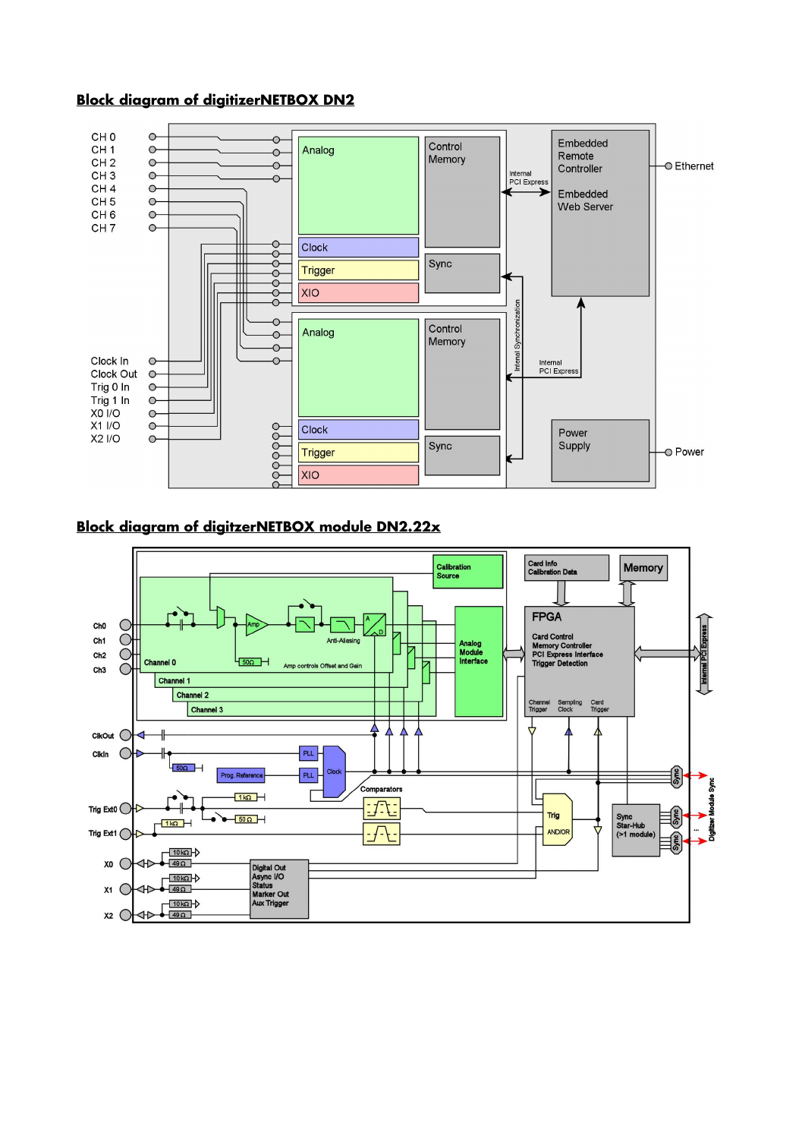# **Block diagram of digitizerNETBOX DN2**



# **Block diagram of digitzerNETBOX module DN2.22x**